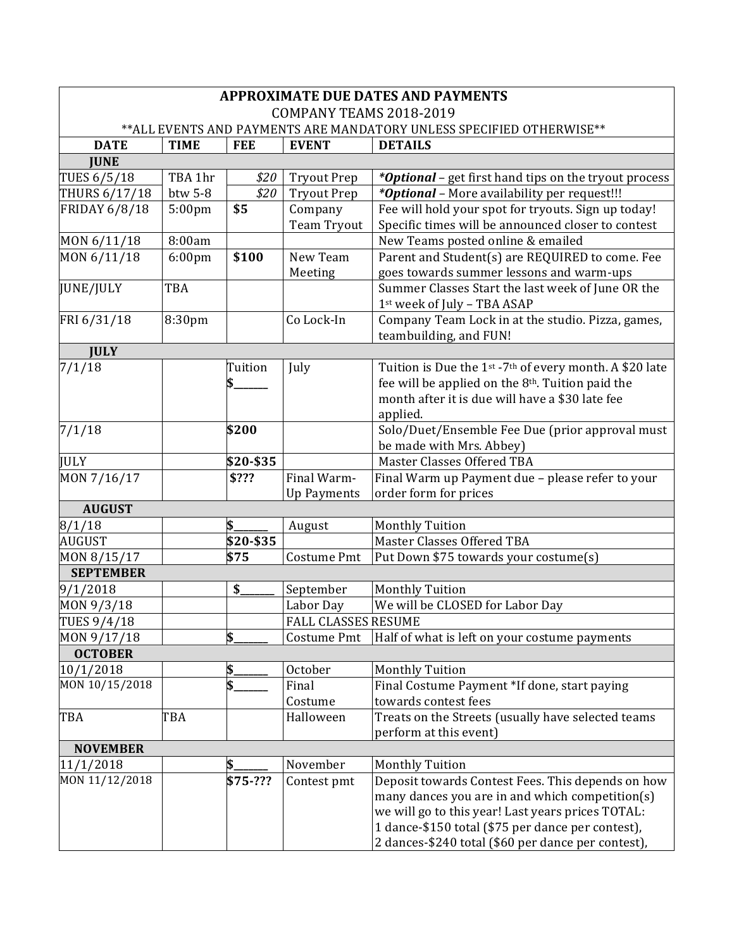| <b>APPROXIMATE DUE DATES AND PAYMENTS</b>                             |             |            |                            |                                                                                 |  |  |  |
|-----------------------------------------------------------------------|-------------|------------|----------------------------|---------------------------------------------------------------------------------|--|--|--|
| COMPANY TEAMS 2018-2019                                               |             |            |                            |                                                                                 |  |  |  |
| ** ALL EVENTS AND PAYMENTS ARE MANDATORY UNLESS SPECIFIED OTHERWISE** |             |            |                            |                                                                                 |  |  |  |
| <b>DATE</b>                                                           | <b>TIME</b> | <b>FEE</b> | <b>EVENT</b>               | <b>DETAILS</b>                                                                  |  |  |  |
| <b>JUNE</b>                                                           |             |            |                            |                                                                                 |  |  |  |
| TUES 6/5/18                                                           | TBA 1hr     | \$20       | <b>Tryout Prep</b>         | <i>*Optional</i> - get first hand tips on the tryout process                    |  |  |  |
| THURS 6/17/18                                                         | btw 5-8     | \$20       | <b>Tryout Prep</b>         | *Optional - More availability per request!!!                                    |  |  |  |
| <b>FRIDAY 6/8/18</b>                                                  | 5:00pm      | \$5        | Company                    | Fee will hold your spot for tryouts. Sign up today!                             |  |  |  |
|                                                                       |             |            | Team Tryout                | Specific times will be announced closer to contest                              |  |  |  |
| MON 6/11/18                                                           | 8:00am      |            |                            | New Teams posted online & emailed                                               |  |  |  |
| MON 6/11/18                                                           | 6:00pm      | \$100      | New Team                   | Parent and Student(s) are REQUIRED to come. Fee                                 |  |  |  |
|                                                                       |             |            | Meeting                    | goes towards summer lessons and warm-ups                                        |  |  |  |
| JUNE/JULY                                                             | TBA         |            |                            | Summer Classes Start the last week of June OR the                               |  |  |  |
|                                                                       |             |            |                            | 1st week of July - TBA ASAP                                                     |  |  |  |
| FRI 6/31/18                                                           | 8:30pm      |            | Co Lock-In                 | Company Team Lock in at the studio. Pizza, games,                               |  |  |  |
|                                                                       |             |            |                            | teambuilding, and FUN!                                                          |  |  |  |
| <b>JULY</b>                                                           |             |            |                            |                                                                                 |  |  |  |
| 7/1/18                                                                |             | Tuition    | July                       | Tuition is Due the 1 <sup>st</sup> -7 <sup>th</sup> of every month. A \$20 late |  |  |  |
|                                                                       |             |            |                            | fee will be applied on the 8 <sup>th</sup> . Tuition paid the                   |  |  |  |
|                                                                       |             |            |                            | month after it is due will have a \$30 late fee                                 |  |  |  |
|                                                                       |             |            |                            | applied.                                                                        |  |  |  |
| 7/1/18                                                                |             | \$200      |                            | Solo/Duet/Ensemble Fee Due (prior approval must                                 |  |  |  |
|                                                                       |             |            |                            | be made with Mrs. Abbey)                                                        |  |  |  |
| <b>JULY</b>                                                           |             | \$20-\$35  |                            | Master Classes Offered TBA                                                      |  |  |  |
| MON 7/16/17                                                           |             | \$???      | Final Warm-                | Final Warm up Payment due - please refer to your                                |  |  |  |
|                                                                       |             |            | <b>Up Payments</b>         | order form for prices                                                           |  |  |  |
| <b>AUGUST</b>                                                         |             |            |                            |                                                                                 |  |  |  |
| 8/1/18                                                                |             |            | August                     | <b>Monthly Tuition</b>                                                          |  |  |  |
| AUGUST                                                                |             | \$20-\$35  |                            | Master Classes Offered TBA                                                      |  |  |  |
| MON 8/15/17                                                           |             | \$75       | Costume Pmt                | Put Down \$75 towards your costume(s)                                           |  |  |  |
| <b>SEPTEMBER</b>                                                      |             |            |                            |                                                                                 |  |  |  |
| 9/1/2018                                                              |             | \$         | September                  | <b>Monthly Tuition</b>                                                          |  |  |  |
| MON 9/3/18                                                            |             |            | Labor Day                  | We will be CLOSED for Labor Day                                                 |  |  |  |
| TUES 9/4/18                                                           |             |            | <b>FALL CLASSES RESUME</b> |                                                                                 |  |  |  |
| MON 9/17/18                                                           |             | \$         | Costume Pmt                | Half of what is left on your costume payments                                   |  |  |  |
| <b>OCTOBER</b>                                                        |             |            |                            |                                                                                 |  |  |  |
| 10/1/2018                                                             |             | \$.        | October                    | <b>Monthly Tuition</b>                                                          |  |  |  |
| MON 10/15/2018                                                        |             | \$         | Final                      | Final Costume Payment *If done, start paying                                    |  |  |  |
|                                                                       |             |            | Costume                    | towards contest fees                                                            |  |  |  |
| TBA                                                                   | TBA         |            | Halloween                  | Treats on the Streets (usually have selected teams                              |  |  |  |
|                                                                       |             |            |                            | perform at this event)                                                          |  |  |  |
| <b>NOVEMBER</b>                                                       |             |            |                            |                                                                                 |  |  |  |
| 11/1/2018                                                             |             | \$.        | November                   | <b>Monthly Tuition</b>                                                          |  |  |  |
| MON 11/12/2018                                                        |             | \$75-???   | Contest pmt                | Deposit towards Contest Fees. This depends on how                               |  |  |  |
|                                                                       |             |            |                            | many dances you are in and which competition(s)                                 |  |  |  |
|                                                                       |             |            |                            | we will go to this year! Last years prices TOTAL:                               |  |  |  |
|                                                                       |             |            |                            | 1 dance-\$150 total (\$75 per dance per contest),                               |  |  |  |
|                                                                       |             |            |                            | 2 dances-\$240 total (\$60 per dance per contest),                              |  |  |  |